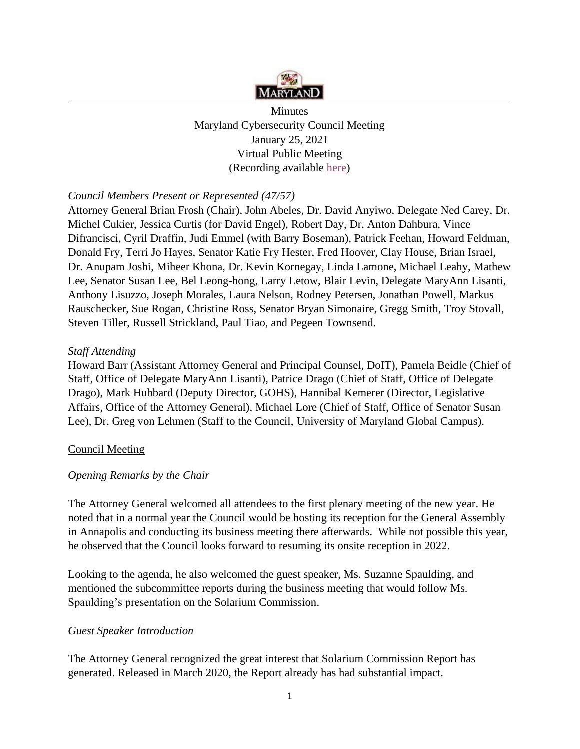

**Minutes** Maryland Cybersecurity Council Meeting January 25, 2021 Virtual Public Meeting (Recording available [here\)](https://1drv.ms/v/s!AjqEqIxJkAfagbE6GdrgTkGVPtriNw?e=rEI1cD)

## *Council Members Present or Represented (47/57)*

Attorney General Brian Frosh (Chair), John Abeles, Dr. David Anyiwo, Delegate Ned Carey, Dr. Michel Cukier, Jessica Curtis (for David Engel), Robert Day, Dr. Anton Dahbura, Vince Difrancisci, Cyril Draffin, Judi Emmel (with Barry Boseman), Patrick Feehan, Howard Feldman, Donald Fry, Terri Jo Hayes, Senator Katie Fry Hester, Fred Hoover, Clay House, Brian Israel, Dr. Anupam Joshi, Miheer Khona, Dr. Kevin Kornegay, Linda Lamone, Michael Leahy, Mathew Lee, Senator Susan Lee, Bel Leong-hong, Larry Letow, Blair Levin, Delegate MaryAnn Lisanti, Anthony Lisuzzo, Joseph Morales, Laura Nelson, Rodney Petersen, Jonathan Powell, Markus Rauschecker, Sue Rogan, Christine Ross, Senator Bryan Simonaire, Gregg Smith, Troy Stovall, Steven Tiller, Russell Strickland, Paul Tiao, and Pegeen Townsend.

### *Staff Attending*

Howard Barr (Assistant Attorney General and Principal Counsel, DoIT), Pamela Beidle (Chief of Staff, Office of Delegate MaryAnn Lisanti), Patrice Drago (Chief of Staff, Office of Delegate Drago), Mark Hubbard (Deputy Director, GOHS), Hannibal Kemerer (Director, Legislative Affairs, Office of the Attorney General), Michael Lore (Chief of Staff, Office of Senator Susan Lee), Dr. Greg von Lehmen (Staff to the Council, University of Maryland Global Campus).

### Council Meeting

### *Opening Remarks by the Chair*

The Attorney General welcomed all attendees to the first plenary meeting of the new year. He noted that in a normal year the Council would be hosting its reception for the General Assembly in Annapolis and conducting its business meeting there afterwards. While not possible this year, he observed that the Council looks forward to resuming its onsite reception in 2022.

Looking to the agenda, he also welcomed the guest speaker, Ms. Suzanne Spaulding, and mentioned the subcommittee reports during the business meeting that would follow Ms. Spaulding's presentation on the Solarium Commission.

### *Guest Speaker Introduction*

The Attorney General recognized the great interest that Solarium Commission Report has generated. Released in March 2020, the Report already has had substantial impact.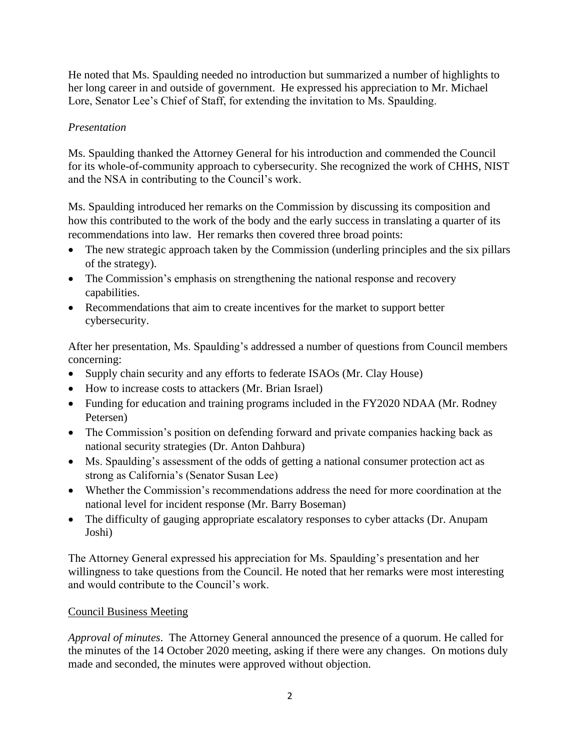He noted that Ms. Spaulding needed no introduction but summarized a number of highlights to her long career in and outside of government. He expressed his appreciation to Mr. Michael Lore, Senator Lee's Chief of Staff, for extending the invitation to Ms. Spaulding.

## *Presentation*

Ms. Spaulding thanked the Attorney General for his introduction and commended the Council for its whole-of-community approach to cybersecurity. She recognized the work of CHHS, NIST and the NSA in contributing to the Council's work.

Ms. Spaulding introduced her remarks on the Commission by discussing its composition and how this contributed to the work of the body and the early success in translating a quarter of its recommendations into law. Her remarks then covered three broad points:

- The new strategic approach taken by the Commission (underling principles and the six pillars of the strategy).
- The Commission's emphasis on strengthening the national response and recovery capabilities.
- Recommendations that aim to create incentives for the market to support better cybersecurity.

After her presentation, Ms. Spaulding's addressed a number of questions from Council members concerning:

- Supply chain security and any efforts to federate ISAOs (Mr. Clay House)
- How to increase costs to attackers (Mr. Brian Israel)
- Funding for education and training programs included in the FY2020 NDAA (Mr. Rodney Petersen)
- The Commission's position on defending forward and private companies hacking back as national security strategies (Dr. Anton Dahbura)
- Ms. Spaulding's assessment of the odds of getting a national consumer protection act as strong as California's (Senator Susan Lee)
- Whether the Commission's recommendations address the need for more coordination at the national level for incident response (Mr. Barry Boseman)
- The difficulty of gauging appropriate escalatory responses to cyber attacks (Dr. Anupam Joshi)

The Attorney General expressed his appreciation for Ms. Spaulding's presentation and her willingness to take questions from the Council. He noted that her remarks were most interesting and would contribute to the Council's work.

# Council Business Meeting

*Approval of minutes*. The Attorney General announced the presence of a quorum. He called for the minutes of the 14 October 2020 meeting, asking if there were any changes. On motions duly made and seconded, the minutes were approved without objection.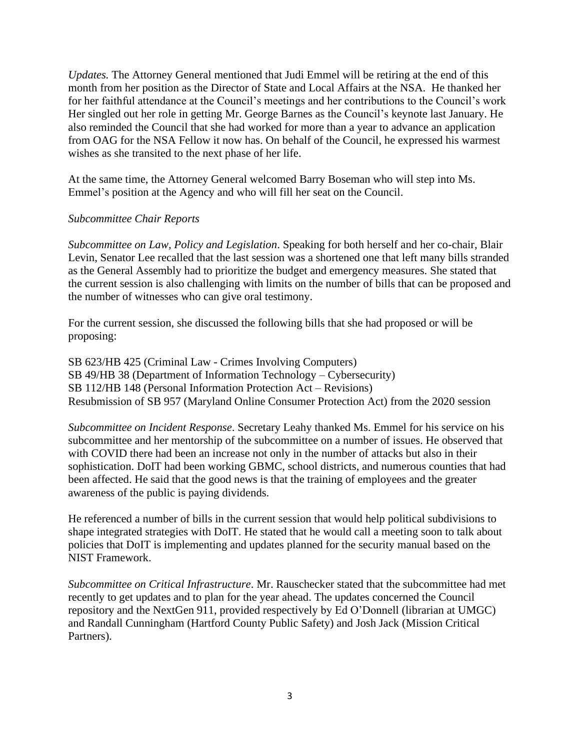*Updates.* The Attorney General mentioned that Judi Emmel will be retiring at the end of this month from her position as the Director of State and Local Affairs at the NSA. He thanked her for her faithful attendance at the Council's meetings and her contributions to the Council's work Her singled out her role in getting Mr. George Barnes as the Council's keynote last January. He also reminded the Council that she had worked for more than a year to advance an application from OAG for the NSA Fellow it now has. On behalf of the Council, he expressed his warmest wishes as she transited to the next phase of her life.

At the same time, the Attorney General welcomed Barry Boseman who will step into Ms. Emmel's position at the Agency and who will fill her seat on the Council.

### *Subcommittee Chair Reports*

*Subcommittee on Law, Policy and Legislation*. Speaking for both herself and her co-chair, Blair Levin, Senator Lee recalled that the last session was a shortened one that left many bills stranded as the General Assembly had to prioritize the budget and emergency measures. She stated that the current session is also challenging with limits on the number of bills that can be proposed and the number of witnesses who can give oral testimony.

For the current session, she discussed the following bills that she had proposed or will be proposing:

SB 623/HB 425 (Criminal Law - Crimes Involving Computers) SB 49/HB 38 (Department of Information Technology – Cybersecurity) SB 112/HB 148 (Personal Information Protection Act – Revisions) Resubmission of SB 957 (Maryland Online Consumer Protection Act) from the 2020 session

*Subcommittee on Incident Response*. Secretary Leahy thanked Ms. Emmel for his service on his subcommittee and her mentorship of the subcommittee on a number of issues. He observed that with COVID there had been an increase not only in the number of attacks but also in their sophistication. DoIT had been working GBMC, school districts, and numerous counties that had been affected. He said that the good news is that the training of employees and the greater awareness of the public is paying dividends.

He referenced a number of bills in the current session that would help political subdivisions to shape integrated strategies with DoIT. He stated that he would call a meeting soon to talk about policies that DoIT is implementing and updates planned for the security manual based on the NIST Framework.

*Subcommittee on Critical Infrastructure*. Mr. Rauschecker stated that the subcommittee had met recently to get updates and to plan for the year ahead. The updates concerned the Council repository and the NextGen 911, provided respectively by Ed O'Donnell (librarian at UMGC) and Randall Cunningham (Hartford County Public Safety) and Josh Jack (Mission Critical Partners).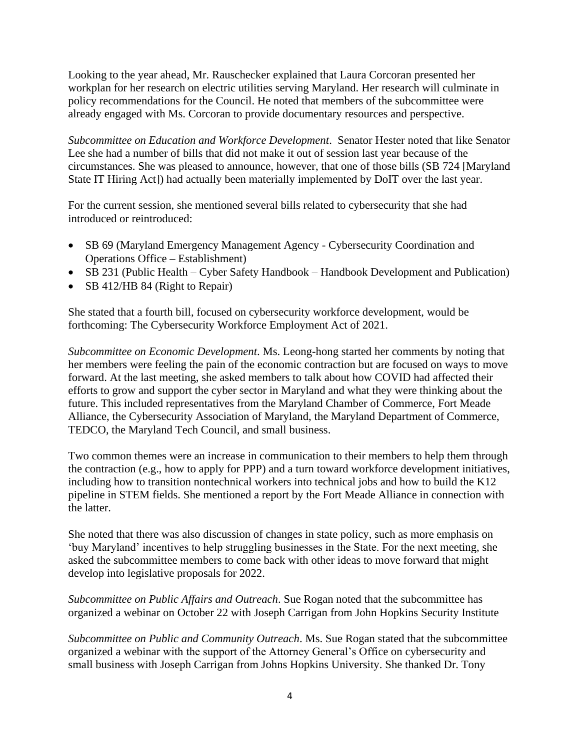Looking to the year ahead, Mr. Rauschecker explained that Laura Corcoran presented her workplan for her research on electric utilities serving Maryland. Her research will culminate in policy recommendations for the Council. He noted that members of the subcommittee were already engaged with Ms. Corcoran to provide documentary resources and perspective.

*Subcommittee on Education and Workforce Development*. Senator Hester noted that like Senator Lee she had a number of bills that did not make it out of session last year because of the circumstances. She was pleased to announce, however, that one of those bills (SB 724 [Maryland State IT Hiring Act]) had actually been materially implemented by DoIT over the last year.

For the current session, she mentioned several bills related to cybersecurity that she had introduced or reintroduced:

- SB 69 (Maryland Emergency Management Agency Cybersecurity Coordination and Operations Office – Establishment)
- SB 231 (Public Health Cyber Safety Handbook Handbook Development and Publication)
- SB 412/HB 84 (Right to Repair)

She stated that a fourth bill, focused on cybersecurity workforce development, would be forthcoming: The Cybersecurity Workforce Employment Act of 2021.

*Subcommittee on Economic Development*. Ms. Leong-hong started her comments by noting that her members were feeling the pain of the economic contraction but are focused on ways to move forward. At the last meeting, she asked members to talk about how COVID had affected their efforts to grow and support the cyber sector in Maryland and what they were thinking about the future. This included representatives from the Maryland Chamber of Commerce, Fort Meade Alliance, the Cybersecurity Association of Maryland, the Maryland Department of Commerce, TEDCO, the Maryland Tech Council, and small business.

Two common themes were an increase in communication to their members to help them through the contraction (e.g., how to apply for PPP) and a turn toward workforce development initiatives, including how to transition nontechnical workers into technical jobs and how to build the K12 pipeline in STEM fields. She mentioned a report by the Fort Meade Alliance in connection with the latter.

She noted that there was also discussion of changes in state policy, such as more emphasis on 'buy Maryland' incentives to help struggling businesses in the State. For the next meeting, she asked the subcommittee members to come back with other ideas to move forward that might develop into legislative proposals for 2022.

*Subcommittee on Public Affairs and Outreach*. Sue Rogan noted that the subcommittee has organized a webinar on October 22 with Joseph Carrigan from John Hopkins Security Institute

*Subcommittee on Public and Community Outreach*. Ms. Sue Rogan stated that the subcommittee organized a webinar with the support of the Attorney General's Office on cybersecurity and small business with Joseph Carrigan from Johns Hopkins University. She thanked Dr. Tony